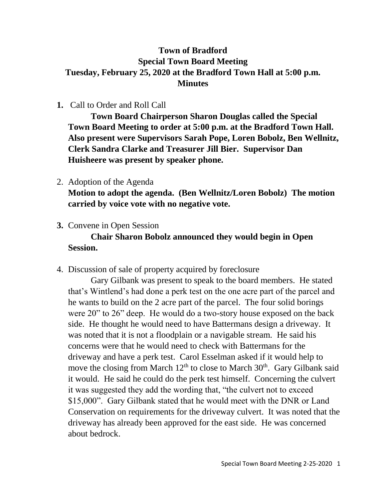## **Town of Bradford Special Town Board Meeting Tuesday, February 25, 2020 at the Bradford Town Hall at 5:00 p.m. Minutes**

## **1.** Call to Order and Roll Call

**Town Board Chairperson Sharon Douglas called the Special Town Board Meeting to order at 5:00 p.m. at the Bradford Town Hall. Also present were Supervisors Sarah Pope, Loren Bobolz, Ben Wellnitz, Clerk Sandra Clarke and Treasurer Jill Bier. Supervisor Dan Huisheere was present by speaker phone.**

## 2. Adoption of the Agenda

**Motion to adopt the agenda. (Ben Wellnitz/Loren Bobolz) The motion carried by voice vote with no negative vote.**

**3.** Convene in Open Session

## **Chair Sharon Bobolz announced they would begin in Open Session.**

4. Discussion of sale of property acquired by foreclosure

Gary Gilbank was present to speak to the board members. He stated that's Wintlend's had done a perk test on the one acre part of the parcel and he wants to build on the 2 acre part of the parcel. The four solid borings were 20" to 26" deep. He would do a two-story house exposed on the back side. He thought he would need to have Battermans design a driveway. It was noted that it is not a floodplain or a navigable stream. He said his concerns were that he would need to check with Battermans for the driveway and have a perk test. Carol Esselman asked if it would help to move the closing from March  $12<sup>th</sup>$  to close to March  $30<sup>th</sup>$ . Gary Gilbank said it would. He said he could do the perk test himself. Concerning the culvert it was suggested they add the wording that, "the culvert not to exceed \$15,000". Gary Gilbank stated that he would meet with the DNR or Land Conservation on requirements for the driveway culvert. It was noted that the driveway has already been approved for the east side. He was concerned about bedrock.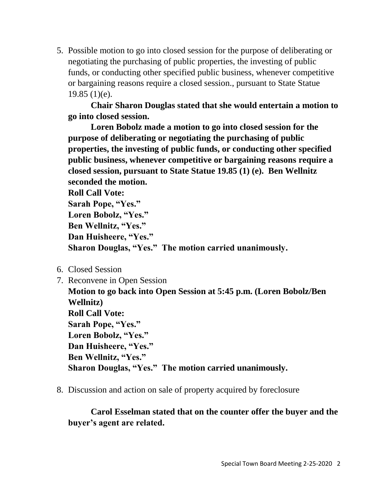5. Possible motion to go into closed session for the purpose of deliberating or negotiating the purchasing of public properties, the investing of public funds, or conducting other specified public business, whenever competitive or bargaining reasons require a closed session., pursuant to State Statue 19.85 (1)(e).

**Chair Sharon Douglas stated that she would entertain a motion to go into closed session.** 

**Loren Bobolz made a motion to go into closed session for the purpose of deliberating or negotiating the purchasing of public properties, the investing of public funds, or conducting other specified public business, whenever competitive or bargaining reasons require a closed session, pursuant to State Statue 19.85 (1) (e). Ben Wellnitz seconded the motion.**

**Roll Call Vote:**

```
Sarah Pope, "Yes."
Loren Bobolz, "Yes."
Ben Wellnitz, "Yes."
Dan Huisheere, "Yes."
Sharon Douglas, "Yes." The motion carried unanimously.
```
- 6. Closed Session
- 7. Reconvene in Open Session

**Motion to go back into Open Session at 5:45 p.m. (Loren Bobolz/Ben Wellnitz) Roll Call Vote: Sarah Pope, "Yes." Loren Bobolz, "Yes." Dan Huisheere, "Yes." Ben Wellnitz, "Yes." Sharon Douglas, "Yes." The motion carried unanimously.**

8. Discussion and action on sale of property acquired by foreclosure

**Carol Esselman stated that on the counter offer the buyer and the buyer's agent are related.**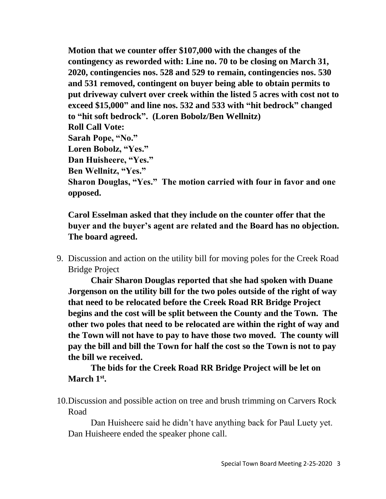**Motion that we counter offer \$107,000 with the changes of the contingency as reworded with: Line no. 70 to be closing on March 31, 2020, contingencies nos. 528 and 529 to remain, contingencies nos. 530 and 531 removed, contingent on buyer being able to obtain permits to put driveway culvert over creek within the listed 5 acres with cost not to exceed \$15,000" and line nos. 532 and 533 with "hit bedrock" changed to "hit soft bedrock". (Loren Bobolz/Ben Wellnitz) Roll Call Vote: Sarah Pope, "No." Loren Bobolz, "Yes." Dan Huisheere, "Yes." Ben Wellnitz, "Yes." Sharon Douglas, "Yes." The motion carried with four in favor and one opposed.**

**Carol Esselman asked that they include on the counter offer that the buyer and the buyer's agent are related and the Board has no objection. The board agreed.**

9. Discussion and action on the utility bill for moving poles for the Creek Road Bridge Project

**Chair Sharon Douglas reported that she had spoken with Duane Jorgenson on the utility bill for the two poles outside of the right of way that need to be relocated before the Creek Road RR Bridge Project begins and the cost will be split between the County and the Town. The other two poles that need to be relocated are within the right of way and the Town will not have to pay to have those two moved. The county will pay the bill and bill the Town for half the cost so the Town is not to pay the bill we received.**

**The bids for the Creek Road RR Bridge Project will be let on March 1st .**

10.Discussion and possible action on tree and brush trimming on Carvers Rock Road

Dan Huisheere said he didn't have anything back for Paul Luety yet. Dan Huisheere ended the speaker phone call.